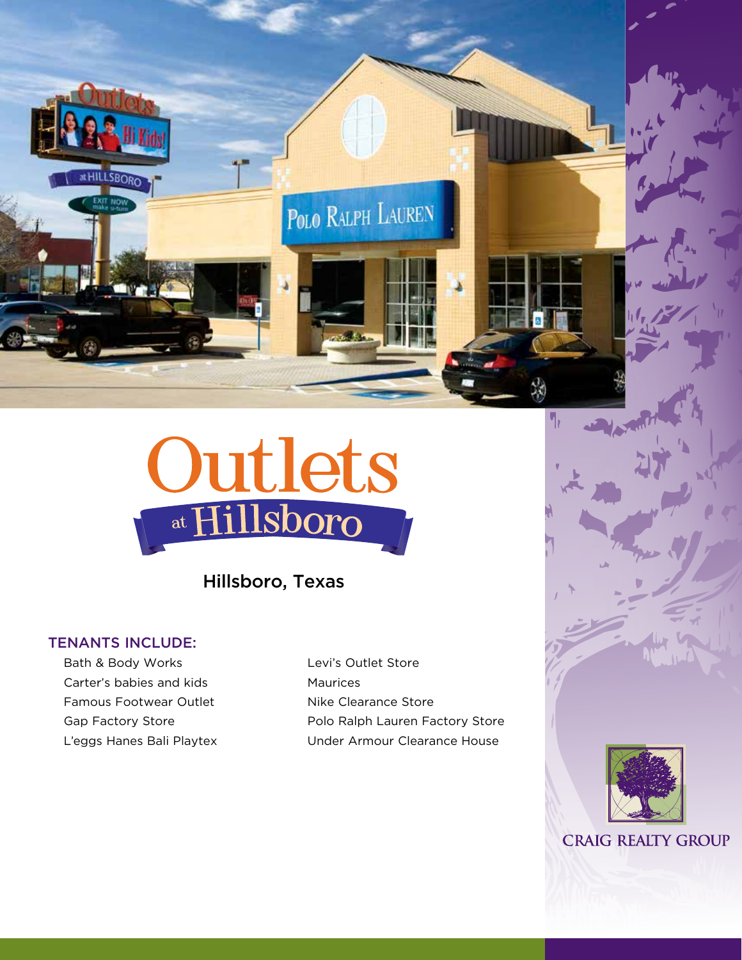



Hillsboro, Texas

### TENANTS INCLUDE:

Bath & Body Works Carter's babies and kids Famous Footwear Outlet Gap Factory Store L'eggs Hanes Bali Playtex Levi's Outlet Store Maurices Nike Clearance Store Polo Ralph Lauren Factory Store Under Armour Clearance House



**CRAIG REALTY GROUP**